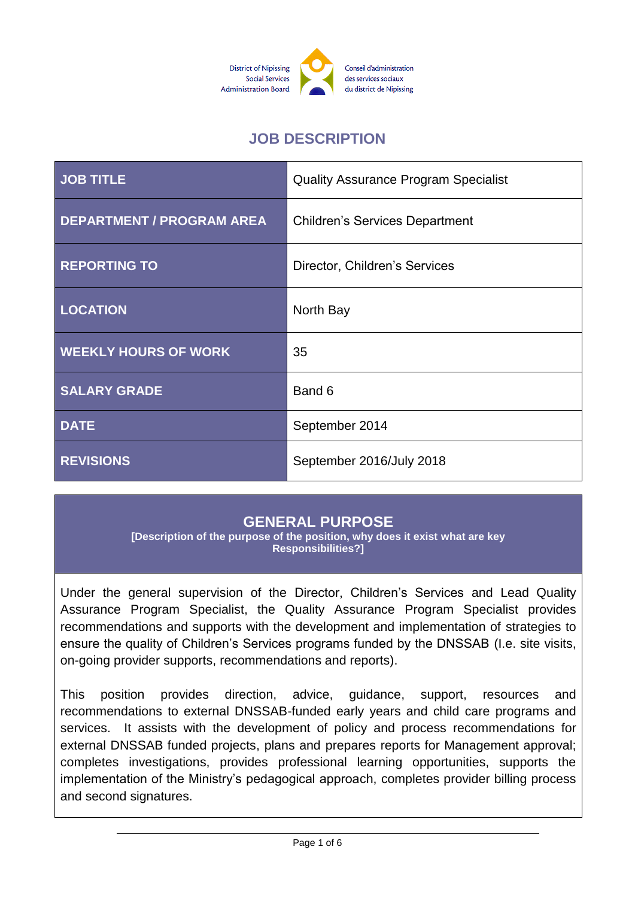

# **JOB DESCRIPTION**

| <b>JOB TITLE</b>                 | <b>Quality Assurance Program Specialist</b> |
|----------------------------------|---------------------------------------------|
| <b>DEPARTMENT / PROGRAM AREA</b> | <b>Children's Services Department</b>       |
| <b>REPORTING TO</b>              | Director, Children's Services               |
| <b>LOCATION</b>                  | North Bay                                   |
| <b>WEEKLY HOURS OF WORK</b>      | 35                                          |
| <b>SALARY GRADE</b>              | Band 6                                      |
| <b>DATE</b>                      | September 2014                              |
| <b>REVISIONS</b>                 | September 2016/July 2018                    |

## **GENERAL PURPOSE**

**[Description of the purpose of the position, why does it exist what are key Responsibilities?]**

Under the general supervision of the Director, Children's Services and Lead Quality Assurance Program Specialist, the Quality Assurance Program Specialist provides recommendations and supports with the development and implementation of strategies to ensure the quality of Children's Services programs funded by the DNSSAB (I.e. site visits, on-going provider supports, recommendations and reports).

This position provides direction, advice, guidance, support, resources and recommendations to external DNSSAB-funded early years and child care programs and services. It assists with the development of policy and process recommendations for external DNSSAB funded projects, plans and prepares reports for Management approval; completes investigations, provides professional learning opportunities, supports the implementation of the Ministry's pedagogical approach, completes provider billing process and second signatures.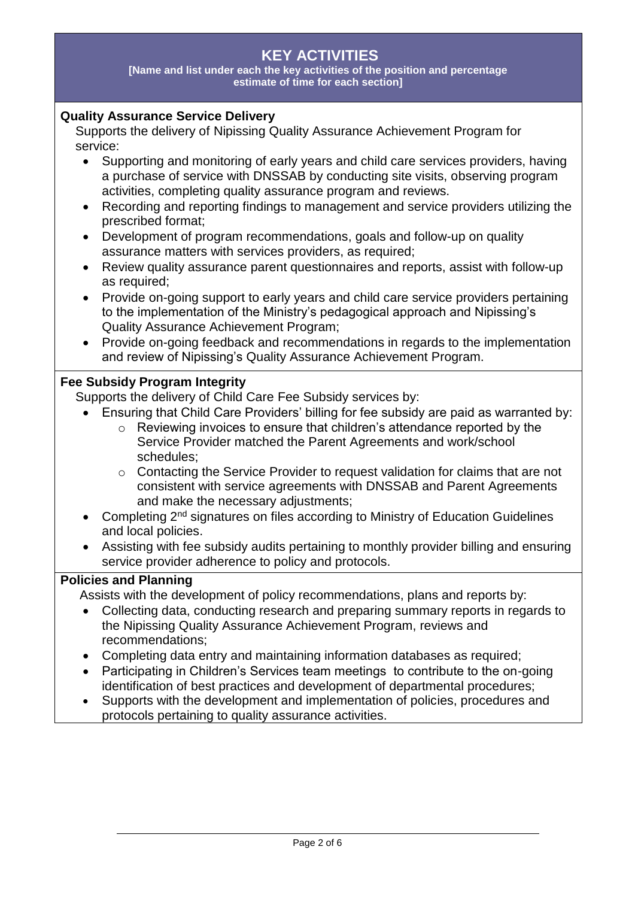# **KEY ACTIVITIES**

**[Name and list under each the key activities of the position and percentage estimate of time for each section]**

#### **Quality Assurance Service Delivery**

Supports the delivery of Nipissing Quality Assurance Achievement Program for service:

- Supporting and monitoring of early years and child care services providers, having a purchase of service with DNSSAB by conducting site visits, observing program activities, completing quality assurance program and reviews.
- Recording and reporting findings to management and service providers utilizing the prescribed format;
- Development of program recommendations, goals and follow-up on quality assurance matters with services providers, as required;
- Review quality assurance parent questionnaires and reports, assist with follow-up as required;
- Provide on-going support to early years and child care service providers pertaining to the implementation of the Ministry's pedagogical approach and Nipissing's Quality Assurance Achievement Program;
- Provide on-going feedback and recommendations in regards to the implementation and review of Nipissing's Quality Assurance Achievement Program.

#### **Fee Subsidy Program Integrity**

Supports the delivery of Child Care Fee Subsidy services by:

- Ensuring that Child Care Providers' billing for fee subsidy are paid as warranted by:
	- o Reviewing invoices to ensure that children's attendance reported by the Service Provider matched the Parent Agreements and work/school schedules;
	- o Contacting the Service Provider to request validation for claims that are not consistent with service agreements with DNSSAB and Parent Agreements and make the necessary adjustments;
- Completing 2<sup>nd</sup> signatures on files according to Ministry of Education Guidelines and local policies.
- Assisting with fee subsidy audits pertaining to monthly provider billing and ensuring service provider adherence to policy and protocols.

#### **Policies and Planning**

Assists with the development of policy recommendations, plans and reports by:

- Collecting data, conducting research and preparing summary reports in regards to the Nipissing Quality Assurance Achievement Program, reviews and recommendations;
- Completing data entry and maintaining information databases as required;
- Participating in Children's Services team meetings to contribute to the on-going identification of best practices and development of departmental procedures;
- Supports with the development and implementation of policies, procedures and protocols pertaining to quality assurance activities.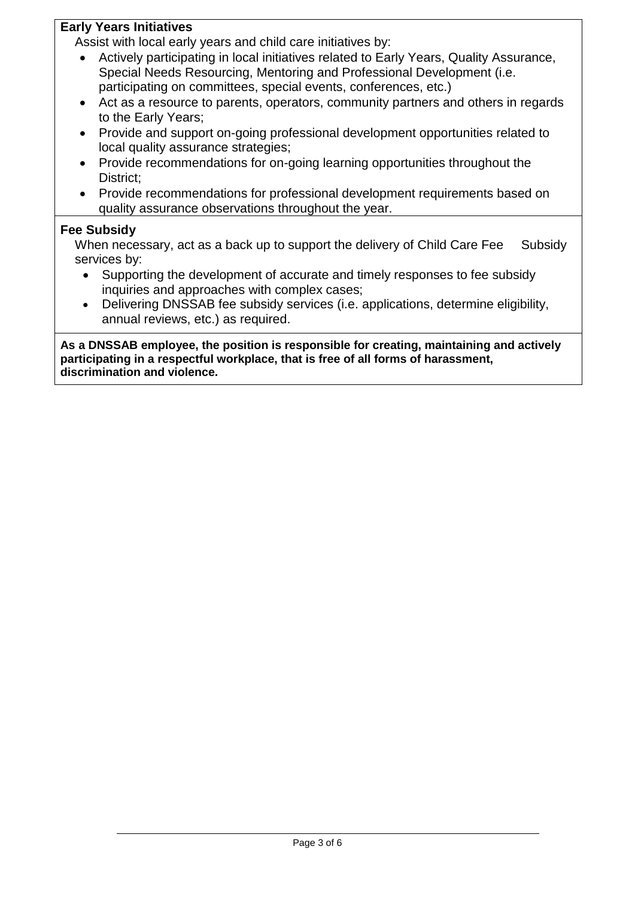#### **Early Years Initiatives**

Assist with local early years and child care initiatives by:

- Actively participating in local initiatives related to Early Years, Quality Assurance, Special Needs Resourcing, Mentoring and Professional Development (i.e. participating on committees, special events, conferences, etc.)
- Act as a resource to parents, operators, community partners and others in regards to the Early Years;
- Provide and support on-going professional development opportunities related to local quality assurance strategies;
- Provide recommendations for on-going learning opportunities throughout the District;
- Provide recommendations for professional development requirements based on quality assurance observations throughout the year.

#### **Fee Subsidy**

When necessary, act as a back up to support the delivery of Child Care Fee Subsidy services by:

- Supporting the development of accurate and timely responses to fee subsidy inquiries and approaches with complex cases;
- Delivering DNSSAB fee subsidy services (i.e. applications, determine eligibility, annual reviews, etc.) as required.

**As a DNSSAB employee, the position is responsible for creating, maintaining and actively participating in a respectful workplace, that is free of all forms of harassment, discrimination and violence.**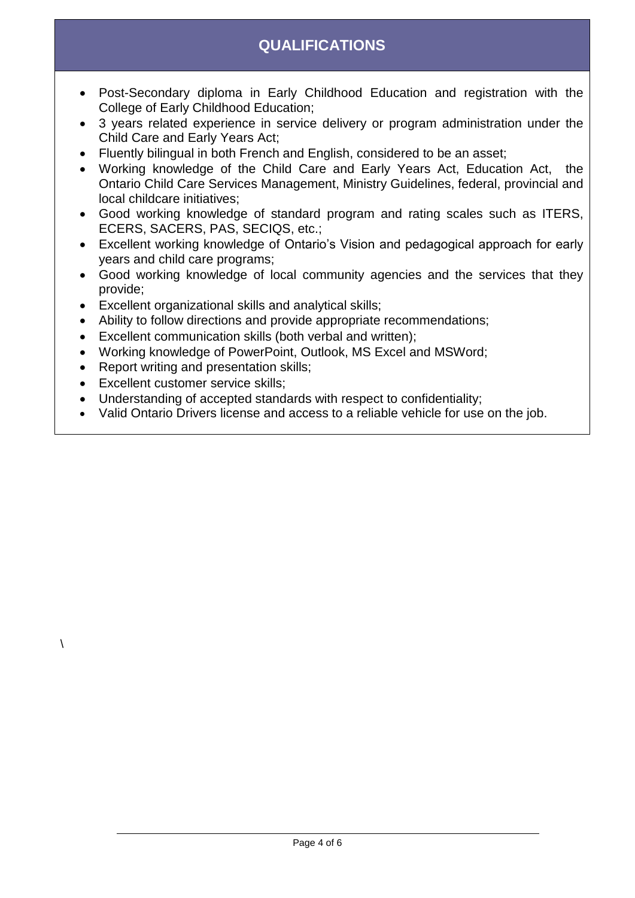# **QUALIFICATIONS**

- Post-Secondary diploma in Early Childhood Education and registration with the College of Early Childhood Education;
- 3 years related experience in service delivery or program administration under the Child Care and Early Years Act;
- Fluently bilingual in both French and English, considered to be an asset;
- Working knowledge of the Child Care and Early Years Act, Education Act, the Ontario Child Care Services Management, Ministry Guidelines, federal, provincial and local childcare initiatives;
- Good working knowledge of standard program and rating scales such as ITERS, ECERS, SACERS, PAS, SECIQS, etc.;
- Excellent working knowledge of Ontario's Vision and pedagogical approach for early years and child care programs;
- Good working knowledge of local community agencies and the services that they provide;
- Excellent organizational skills and analytical skills;
- Ability to follow directions and provide appropriate recommendations;
- Excellent communication skills (both verbal and written);
- Working knowledge of PowerPoint, Outlook, MS Excel and MSWord;
- Report writing and presentation skills;
- Excellent customer service skills;

 $\lambda$ 

- Understanding of accepted standards with respect to confidentiality;
- Valid Ontario Drivers license and access to a reliable vehicle for use on the job.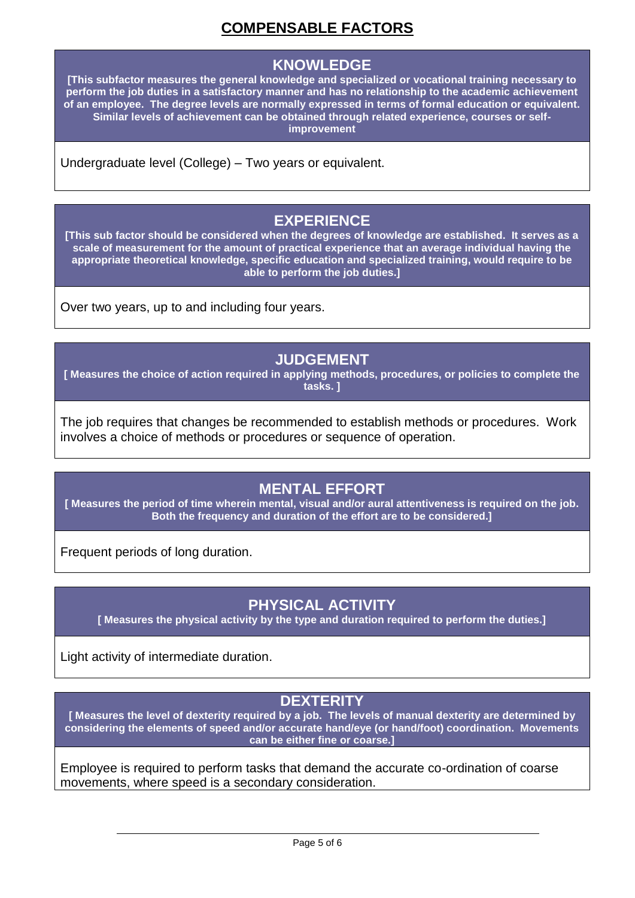# **COMPENSABLE FACTORS**

### **KNOWLEDGE**

**[This subfactor measures the general knowledge and specialized or vocational training necessary to perform the job duties in a satisfactory manner and has no relationship to the academic achievement of an employee. The degree levels are normally expressed in terms of formal education or equivalent. Similar levels of achievement can be obtained through related experience, courses or selfimprovement**

Undergraduate level (College) – Two years or equivalent.

## **EXPERIENCE**

**[This sub factor should be considered when the degrees of knowledge are established. It serves as a scale of measurement for the amount of practical experience that an average individual having the appropriate theoretical knowledge, specific education and specialized training, would require to be able to perform the job duties.]**

Over two years, up to and including four years.

## **JUDGEMENT**

**[ Measures the choice of action required in applying methods, procedures, or policies to complete the tasks. ]**

The job requires that changes be recommended to establish methods or procedures. Work involves a choice of methods or procedures or sequence of operation.

# **MENTAL EFFORT**

**[ Measures the period of time wherein mental, visual and/or aural attentiveness is required on the job. Both the frequency and duration of the effort are to be considered.]**

Frequent periods of long duration.

## **PHYSICAL ACTIVITY**

**[ Measures the physical activity by the type and duration required to perform the duties.]**

Light activity of intermediate duration.

#### **DEXTERITY**

**[ Measures the level of dexterity required by a job. The levels of manual dexterity are determined by considering the elements of speed and/or accurate hand/eye (or hand/foot) coordination. Movements can be either fine or coarse.]**

Employee is required to perform tasks that demand the accurate co-ordination of coarse movements, where speed is a secondary consideration.